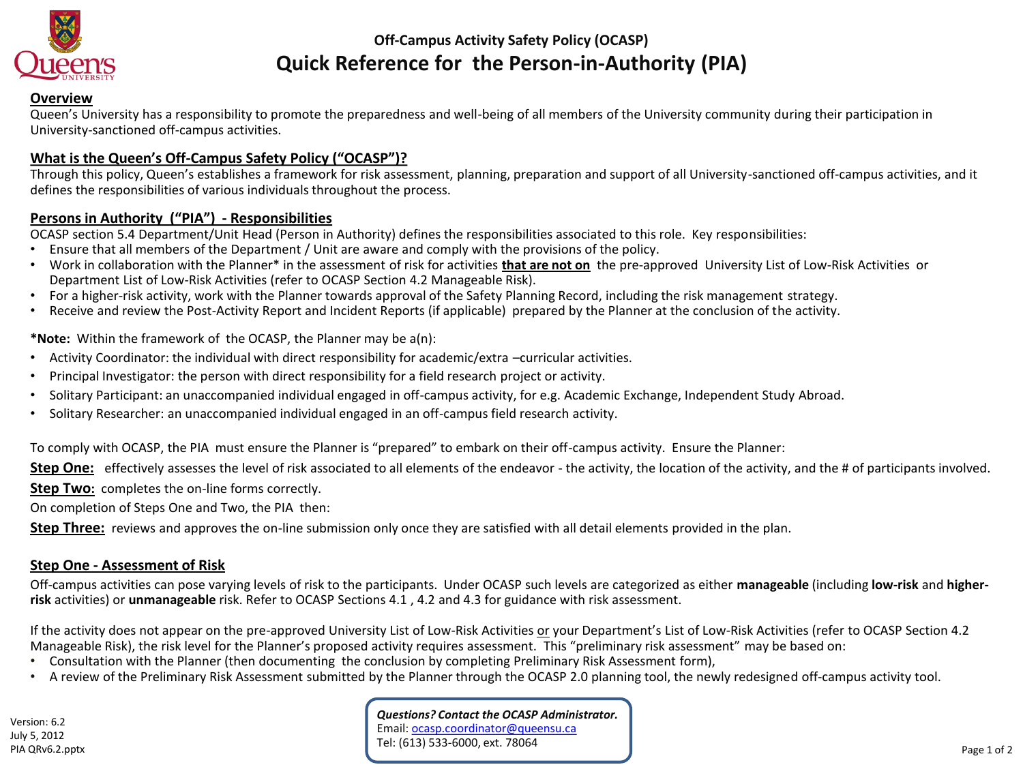

# **Off-Campus Activity Safety Policy (OCASP) Quick Reference for the Person-in-Authority (PIA)**

#### **Overview**

Queen's University has a responsibility to promote the preparedness and well-being of all members of the University community during their participation in University-sanctioned off-campus activities.

## **What is the Queen's Off-Campus Safety Policy ("OCASP")?**

Through this policy, Queen's establishes a framework for risk assessment, planning, preparation and support of all University-sanctioned off-campus activities, and it defines the responsibilities of various individuals throughout the process.

#### **Persons in Authority ("PIA") - Responsibilities**

OCASP section 5.4 Department/Unit Head (Person in Authority) defines the responsibilities associated to this role. Key responsibilities:

- Ensure that all members of the Department / Unit are aware and comply with the provisions of the policy.
- Work in collaboration with the Planner\* in the assessment of risk for activities **that are not on** the pre-approved University List of Low-Risk Activities or Department List of Low-Risk Activities (refer to OCASP Section 4.2 Manageable Risk).
- For a higher-risk activity, work with the Planner towards approval of the Safety Planning Record, including the risk management strategy.
- Receive and review the Post-Activity Report and Incident Reports (if applicable) prepared by the Planner at the conclusion of the activity.

**\*Note:** Within the framework of the OCASP, the Planner may be a(n):

- Activity Coordinator: the individual with direct responsibility for academic/extra –curricular activities.
- Principal Investigator: the person with direct responsibility for a field research project or activity.
- Solitary Participant: an unaccompanied individual engaged in off-campus activity, for e.g. Academic Exchange, Independent Study Abroad.
- Solitary Researcher: an unaccompanied individual engaged in an off-campus field research activity.

To comply with OCASP, the PIA must ensure the Planner is "prepared" to embark on their off-campus activity. Ensure the Planner:

Step One: effectively assesses the level of risk associated to all elements of the endeavor - the activity, the location of the activity, and the # of participants involved.

**Step Two:** completes the on-line forms correctly.

On completion of Steps One and Two, the PIA then:

**Step Three:** reviews and approves the on-line submission only once they are satisfied with all detail elements provided in the plan.

### **Step One - Assessment of Risk**

Off-campus activities can pose varying levels of risk to the participants. Under OCASP such levels are categorized as either **manageable** (including **low-risk** and **higherrisk** activities) or **unmanageable** risk. Refer to OCASP Sections 4.1 , 4.2 and 4.3 for guidance with risk assessment.

If the activity does not appear on the pre-approved University List of Low-Risk Activities or your Department's List of Low-Risk Activities (refer to OCASP Section 4.2 Manageable Risk), the risk level for the Planner's proposed activity requires assessment. This "preliminary risk assessment" may be based on:

- Consultation with the Planner (then documenting the conclusion by completing Preliminary Risk Assessment form),
- A review of the Preliminary Risk Assessment submitted by the Planner through the OCASP 2.0 planning tool, the newly redesigned off-campus activity tool.

*Questions? Contact the OCASP Administrator.* Email: [ocasp.coordinator@queensu.ca](mailto:ocasp.coordinator@queensu.ca) Tel: (613) 533-6000, ext. 78064 PIA QRv6.2.pptx Page 1 of 2